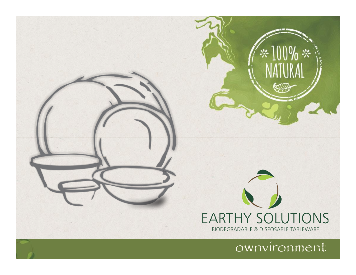

ownvironment

 $100\% *$ 

**FOR** 

፠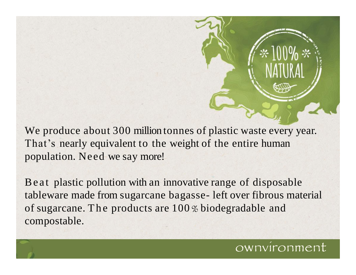We produce about 300 million tonnes of plastic waste every year. That's nearly equivalent to the weight of the entire human population. Need we say more!

Be at plastic pollution with an innovative range of disposable tableware made from sugarcane bagasse- left over fibrous material of sugarcane. The products are  $100\%$  biodegradable and compostable.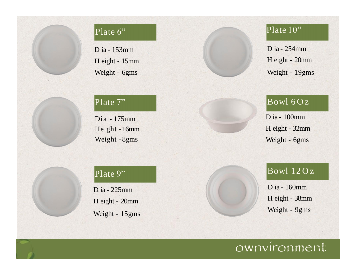#### Plate 6"

D ia - 153mm H eight - 15mm Weight - 6gms

#### Plate 7"

Dia - 175mm Height -16mm Weight -8gms

## Plate 10"

D ia - 254mm H eight - 20mm Weight - 19gms

### $Bowl$  60z

D ia - 100mm H eight - 32mm Weight - 6gms

#### Plate 9"

D ia - 225mm H eight - 20mm Weight - 15gms



#### $Bowl$   $12Oz$

D ia - 160mm H eight - 38mm Weight - 9gms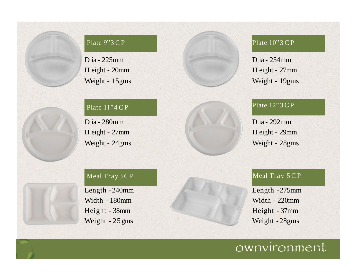#### Plate 9"3 C P

D ia - 225mm H eight - 20mm Weight - 15gms

#### Plate  $11"4$  CP

Weight - 24gms Weight - 28gms D ia - 280mm H eight - 27mm

#### Meal Tray 3 C P

Length -240mm Width - 180mm Height - 38mm Weight - 25 gms

#### Plate 10"3 CP

D ia - 254mm H eight - 27mm Weight - 19gms

#### Plate 12"3 CP

D ia - 292mm H eight - 29mm

#### Meal Tray  $5CP$

Length -275mm Width - 220mm Height - 37mm Weight -28gms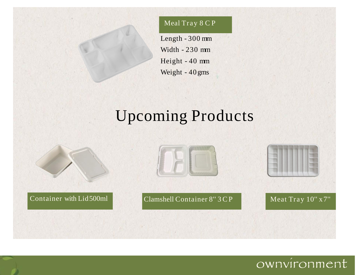#### Meal Tray 8 C P

Length - 300 mm Width - 230 mm Height - 40 mm Weight - 40 gms

# Upcoming Products

Container with Lid500ml Clamshell Container 8"3 CP Meat Tray 10" x 7"